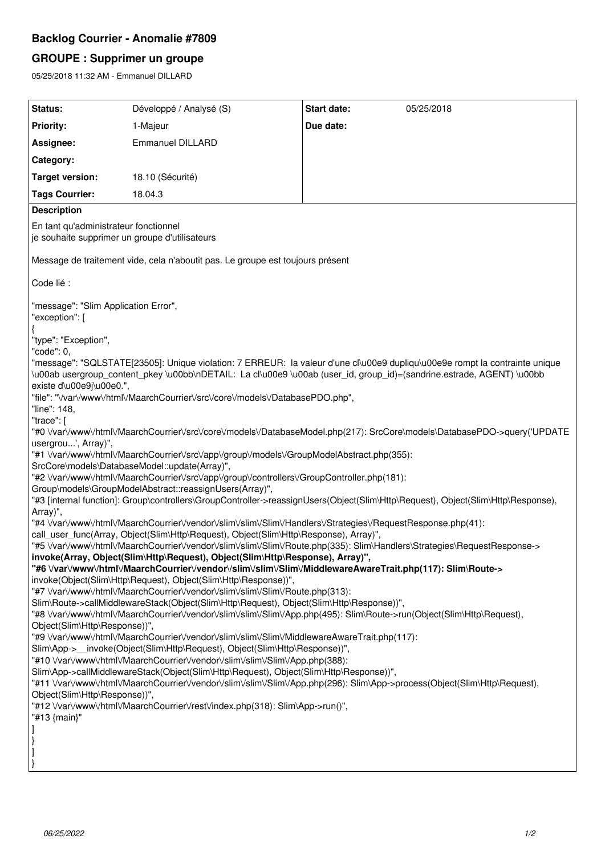# **Backlog Courrier - Anomalie #7809**

# **GROUPE : Supprimer un groupe**

05/25/2018 11:32 AM - Emmanuel DILLARD

| Status:                                                                                                                                                                                                                                                                          | Développé / Analysé (S) | <b>Start date:</b> | 05/25/2018 |
|----------------------------------------------------------------------------------------------------------------------------------------------------------------------------------------------------------------------------------------------------------------------------------|-------------------------|--------------------|------------|
| <b>Priority:</b>                                                                                                                                                                                                                                                                 | 1-Majeur                | Due date:          |            |
| Assignee:                                                                                                                                                                                                                                                                        | <b>Emmanuel DILLARD</b> |                    |            |
| Category:                                                                                                                                                                                                                                                                        |                         |                    |            |
| <b>Target version:</b>                                                                                                                                                                                                                                                           | 18.10 (Sécurité)        |                    |            |
| <b>Tags Courrier:</b>                                                                                                                                                                                                                                                            | 18.04.3                 |                    |            |
| <b>Description</b>                                                                                                                                                                                                                                                               |                         |                    |            |
| En tant qu'administrateur fonctionnel<br>je souhaite supprimer un groupe d'utilisateurs                                                                                                                                                                                          |                         |                    |            |
| Message de traitement vide, cela n'aboutit pas. Le groupe est toujours présent                                                                                                                                                                                                   |                         |                    |            |
| Code lié :                                                                                                                                                                                                                                                                       |                         |                    |            |
| "message": "Slim Application Error",<br>"exception": [                                                                                                                                                                                                                           |                         |                    |            |
| "type": "Exception",<br>"code": 0,                                                                                                                                                                                                                                               |                         |                    |            |
| "message": "SQLSTATE[23505]: Unique violation: 7 ERREUR: la valeur d'une cl\u00e9 dupliqu\u00e9e rompt la contrainte unique<br>\u00ab usergroup_content_pkey \u00bb\nDETAIL: La cl\u00e9 \u00ab (user_id, group_id)=(sandrine.estrade, AGENT) \u00bb<br>existe d\u00e9j\u00e0.", |                         |                    |            |
| "file": "\/var\/www\/html\/MaarchCourrier\/src\/core\/models\/DatabasePDO.php",<br>"line": 148,<br>"trace": [                                                                                                                                                                    |                         |                    |            |
| "#0 \/var\/www\/html\/MaarchCourrier\/src\/core\/models\/DatabaseModel.php(217): SrcCore\models\DatabasePDO->query('UPDATE                                                                                                                                                       |                         |                    |            |
| usergrou', Array)",<br>"#1 \/var\/www\/html\/MaarchCourrier\/src\/app\/group\/models\/GroupModelAbstract.php(355):                                                                                                                                                               |                         |                    |            |
| SrcCore\models\DatabaseModel::update(Array)",                                                                                                                                                                                                                                    |                         |                    |            |
| "#2 \/var\/www\/html\/MaarchCourrier\/src\/app\/group\/controllers\/GroupController.php(181):<br>Group\models\GroupModelAbstract::reassignUsers(Array)",                                                                                                                         |                         |                    |            |
| "#3 [internal function]: Group\controllers\GroupController->reassignUsers(Object(Slim\Http\Request), Object(Slim\Http\Response),                                                                                                                                                 |                         |                    |            |
| Array)",<br>"#4 \/var\/www\/html\/MaarchCourrier\/vendor\/slim\/slim\/Slim\/Handlers\/Strategies\/RequestResponse.php(41):                                                                                                                                                       |                         |                    |            |
| call_user_func(Array, Object(Slim\Http\Request), Object(Slim\Http\Response), Array)",                                                                                                                                                                                            |                         |                    |            |
| "#5 \/var\/www\/html\/MaarchCourrier\/vendor\/slim\/slim\/Rim\/Route.php(335): Slim\Handlers\Strategies\RequestResponse-><br>invoke(Array, Object(Slim\Http\Request), Object(Slim\Http\Response), Array)",                                                                       |                         |                    |            |
| ythotytymuminthtml\/MaarchCourrier\/vendor\/slim\/slim\/Slim\/MiddlewareAwareTrait.php(117): Slim\Route->"                                                                                                                                                                       |                         |                    |            |
| invoke(Object(Slim\Http\Request), Object(Slim\Http\Response))",                                                                                                                                                                                                                  |                         |                    |            |
| "#7 \/var\/www\/html\/MaarchCourrier\/vendor\/slim\/slim\/Slim\/Route.php(313):<br>Slim\Route->callMiddlewareStack(Object(Slim\Http\Request), Object(Slim\Http\Response))",                                                                                                      |                         |                    |            |
| "#8 \/var\/www\/html\/MaarchCourrier\/vendor\/slim\/slim\/Slim\/App.php(495): Slim\Route->run(Object(Slim\Http\Request),                                                                                                                                                         |                         |                    |            |
| Object(Slim\Http\Response))",                                                                                                                                                                                                                                                    |                         |                    |            |
| "#9 \/var\/www\/html\/MaarchCourrier\/vendor\/slim\/slim\/Slim\/MiddlewareAwareTrait.php(117):<br>Slim\App->__invoke(Object(Slim\Http\Request), Object(Slim\Http\Response))",                                                                                                    |                         |                    |            |
| "#10 \/var\/www\/html\/MaarchCourrier\/vendor\/slim\/slim\/Slim\/App.php(388):                                                                                                                                                                                                   |                         |                    |            |
| Slim\App->callMiddlewareStack(Object(Slim\Http\Request), Object(Slim\Http\Response))",                                                                                                                                                                                           |                         |                    |            |
| "#11 \/var\/www\/html\/MaarchCourrier\/vendor\/slim\/slim\/Slim\/App.php(296): Slim\App->process(Object(Slim\Http\Request),                                                                                                                                                      |                         |                    |            |
| Object(Slim\Http\Response))",<br>"#12 \/var\/www\/html\/MaarchCourrier\/rest\/index.php(318): Slim\App->run()",                                                                                                                                                                  |                         |                    |            |
| "#13 {main}"                                                                                                                                                                                                                                                                     |                         |                    |            |
|                                                                                                                                                                                                                                                                                  |                         |                    |            |
|                                                                                                                                                                                                                                                                                  |                         |                    |            |
|                                                                                                                                                                                                                                                                                  |                         |                    |            |